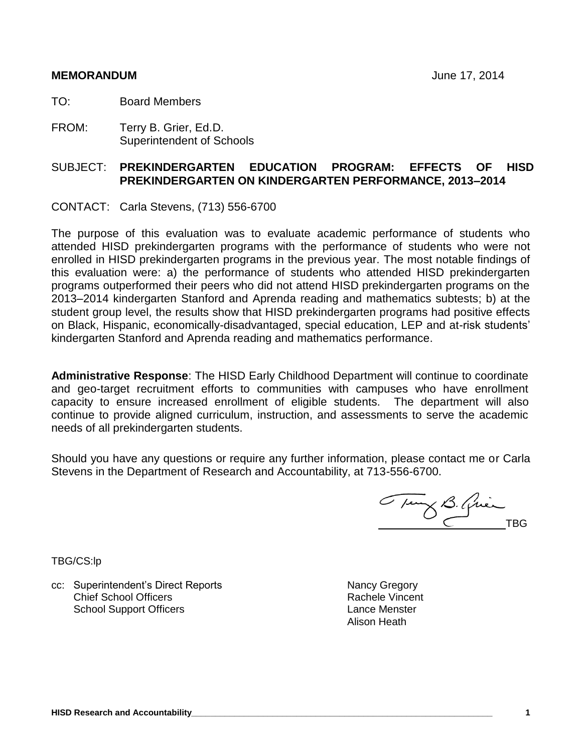#### **MEMORANDUM** June 17, 2014

TO: Board Members

FROM: Terry B. Grier, Ed.D. Superintendent of Schools

# SUBJECT: **PREKINDERGARTEN EDUCATION PROGRAM: EFFECTS OF HISD PREKINDERGARTEN ON KINDERGARTEN PERFORMANCE, 2013–2014**

CONTACT: Carla Stevens, (713) 556-6700

The purpose of this evaluation was to evaluate academic performance of students who attended HISD prekindergarten programs with the performance of students who were not enrolled in HISD prekindergarten programs in the previous year. The most notable findings of this evaluation were: a) the performance of students who attended HISD prekindergarten programs outperformed their peers who did not attend HISD prekindergarten programs on the 2013–2014 kindergarten Stanford and Aprenda reading and mathematics subtests; b) at the student group level, the results show that HISD prekindergarten programs had positive effects on Black, Hispanic, economically-disadvantaged, special education, LEP and at-risk students' kindergarten Stanford and Aprenda reading and mathematics performance.

**Administrative Response**: The HISD Early Childhood Department will continue to coordinate and geo-target recruitment efforts to communities with campuses who have enrollment capacity to ensure increased enrollment of eligible students. The department will also continue to provide aligned curriculum, instruction, and assessments to serve the academic needs of all prekindergarten students.

Should you have any questions or require any further information, please contact me or Carla Stevens in the Department of Research and Accountability, at 713-556-6700.

Tung B. Quin

TBG/CS:lp

cc: Superintendent's Direct Reports Nancy Gregory Nancy Gregory Chief School Officers School Support Officers

Rachele Vincent Lance Menster Alison Heath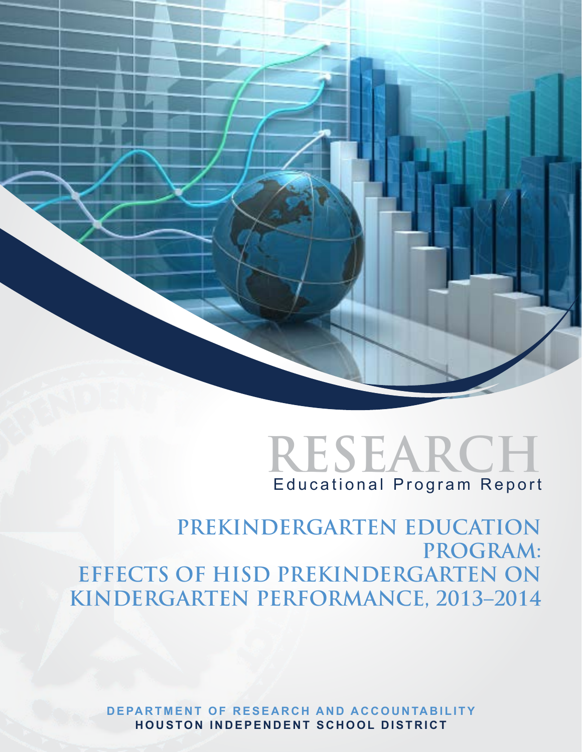



**PREKINDERGARTEN EDUCATION PROGRAM: EFFECTS OF HISD PREKINDERGARTEN ON KINDERGARTEN PERFORMANCE, 2013–2014**

**DEPARTMENT OF RESEARCH AND ACCOUNTABILITY H ouston I n d epen d ent S chool District**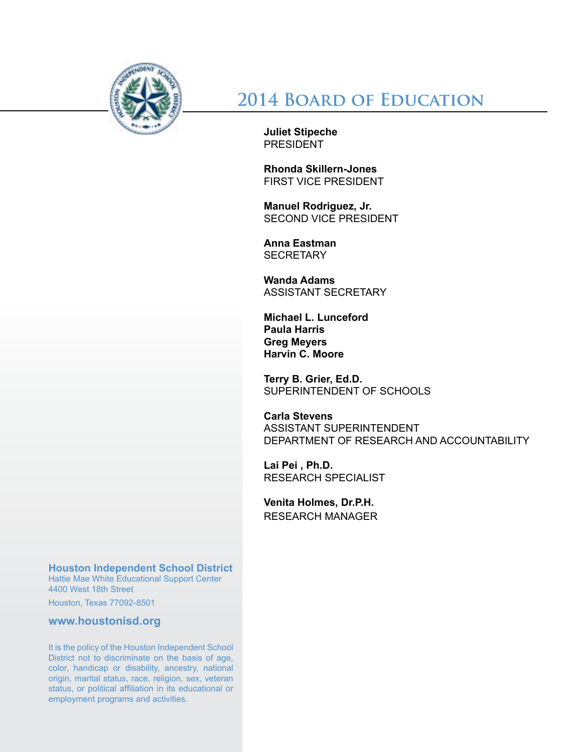

**2014 Board of Education**

**Juliet Stipeche PRESIDENT** 

**Rhonda Skillern-Jones** First Vice President

**Manuel Rodriguez, Jr.** Second Vice President

**Anna Eastman SECRETARY** 

**Wanda Adams** Assistant Secretary

**Michael L. Lunceford Paula Harris Greg Meyers Harvin C. Moore**

**Terry B. Grier, Ed.D.** SUPERINTENDENT OF SCHOOLS

**Carla Stevens** ASSISTANT SUPERINTENDENT DEPARTMENT OF RESEARCH AND ACCOUNTABILITY

**Lai Pei , Ph.D.** RESEARCH SPECIALIST

**Venita Holmes, Dr.P.H.** RESEARCH MANAGER

# **Houston Independent School District**

Hattie Mae White Educational Support Center 4400 West 18th Street

Houston, Texas 77092-8501

**www.houstonisd.org**

It is the policy of the Houston Independent School District not to discriminate on the basis of age, color, handicap or disability, ancestry, national origin, marital status, race, religion, sex, veteran status, or political affiliation in its educational or employment programs and activities.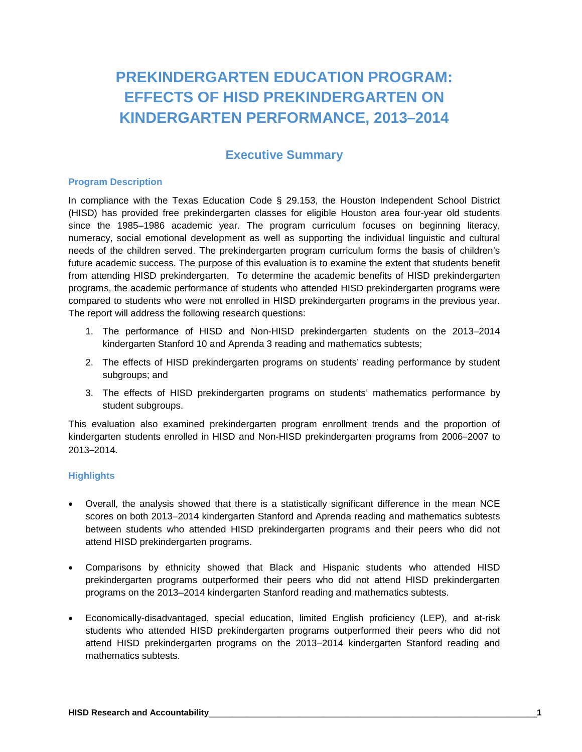# **PREKINDERGARTEN EDUCATION PROGRAM: EFFECTS OF HISD PREKINDERGARTEN ON KINDERGARTEN PERFORMANCE, 2013–2014**

# **Executive Summary**

#### **Program Description**

In compliance with the Texas Education Code § 29.153, the Houston Independent School District (HISD) has provided free prekindergarten classes for eligible Houston area four-year old students since the 1985–1986 academic year. The program curriculum focuses on beginning literacy, numeracy, social emotional development as well as supporting the individual linguistic and cultural needs of the children served. The prekindergarten program curriculum forms the basis of children's future academic success. The purpose of this evaluation is to examine the extent that students benefit from attending HISD prekindergarten. To determine the academic benefits of HISD prekindergarten programs, the academic performance of students who attended HISD prekindergarten programs were compared to students who were not enrolled in HISD prekindergarten programs in the previous year. The report will address the following research questions:

- 1. The performance of HISD and Non-HISD prekindergarten students on the 2013–2014 kindergarten Stanford 10 and Aprenda 3 reading and mathematics subtests;
- 2. The effects of HISD prekindergarten programs on students' reading performance by student subgroups; and
- 3. The effects of HISD prekindergarten programs on students' mathematics performance by student subgroups.

This evaluation also examined prekindergarten program enrollment trends and the proportion of kindergarten students enrolled in HISD and Non-HISD prekindergarten programs from 2006–2007 to 2013–2014.

#### **Highlights**

- Overall, the analysis showed that there is a statistically significant difference in the mean NCE scores on both 2013–2014 kindergarten Stanford and Aprenda reading and mathematics subtests between students who attended HISD prekindergarten programs and their peers who did not attend HISD prekindergarten programs.
- Comparisons by ethnicity showed that Black and Hispanic students who attended HISD prekindergarten programs outperformed their peers who did not attend HISD prekindergarten programs on the 2013–2014 kindergarten Stanford reading and mathematics subtests.
- Economically-disadvantaged, special education, limited English proficiency (LEP), and at-risk students who attended HISD prekindergarten programs outperformed their peers who did not attend HISD prekindergarten programs on the 2013–2014 kindergarten Stanford reading and mathematics subtests.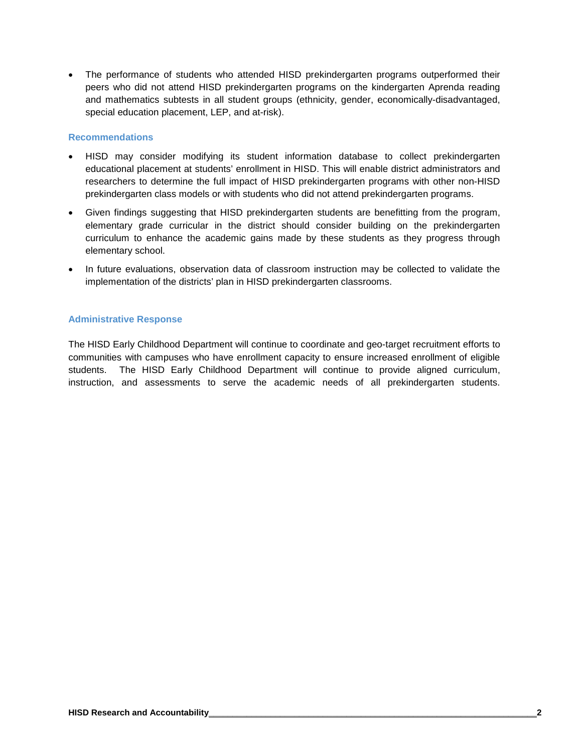• The performance of students who attended HISD prekindergarten programs outperformed their peers who did not attend HISD prekindergarten programs on the kindergarten Aprenda reading and mathematics subtests in all student groups (ethnicity, gender, economically-disadvantaged, special education placement, LEP, and at-risk).

#### **Recommendations**

- HISD may consider modifying its student information database to collect prekindergarten educational placement at students' enrollment in HISD. This will enable district administrators and researchers to determine the full impact of HISD prekindergarten programs with other non-HISD prekindergarten class models or with students who did not attend prekindergarten programs.
- Given findings suggesting that HISD prekindergarten students are benefitting from the program, elementary grade curricular in the district should consider building on the prekindergarten curriculum to enhance the academic gains made by these students as they progress through elementary school.
- In future evaluations, observation data of classroom instruction may be collected to validate the implementation of the districts' plan in HISD prekindergarten classrooms.

#### **Administrative Response**

The HISD Early Childhood Department will continue to coordinate and geo-target recruitment efforts to communities with campuses who have enrollment capacity to ensure increased enrollment of eligible students. The HISD Early Childhood Department will continue to provide aligned curriculum, instruction, and assessments to serve the academic needs of all prekindergarten students.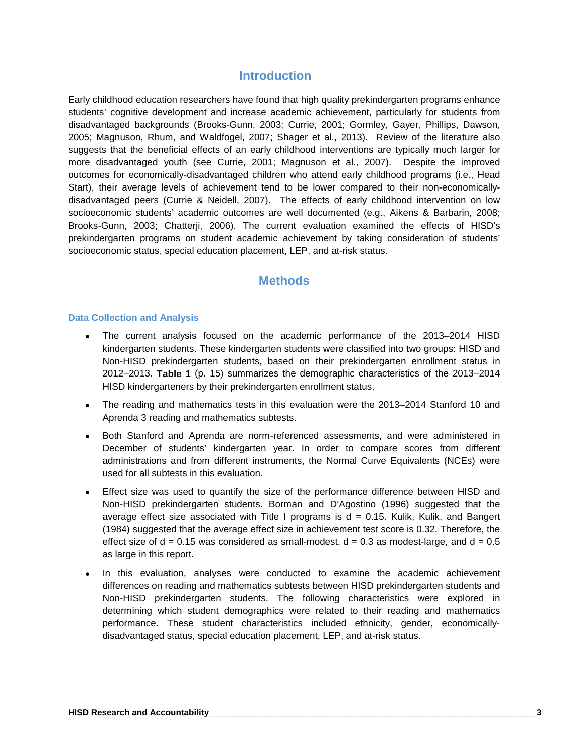# **Introduction**

Early childhood education researchers have found that high quality prekindergarten programs enhance students' cognitive development and increase academic achievement, particularly for students from disadvantaged backgrounds (Brooks-Gunn, 2003; Currie, 2001; Gormley, Gayer, Phillips, Dawson, 2005; Magnuson, Rhum, and Waldfogel, 2007; Shager et al., 2013). Review of the literature also suggests that the beneficial effects of an early childhood interventions are typically much larger for more disadvantaged youth (see Currie, 2001; Magnuson et al., 2007). Despite the improved outcomes for economically-disadvantaged children who attend early childhood programs (i.e., Head Start), their average levels of achievement tend to be lower compared to their non-economicallydisadvantaged peers (Currie & Neidell, 2007). The effects of early childhood intervention on low socioeconomic students' academic outcomes are well documented (e.g., Aikens & Barbarin, 2008; Brooks-Gunn, 2003; Chatterji, 2006). The current evaluation examined the effects of HISD's prekindergarten programs on student academic achievement by taking consideration of students' socioeconomic status, special education placement, LEP, and at-risk status.

# **Methods**

#### **Data Collection and Analysis**

- The current analysis focused on the academic performance of the 2013–2014 HISD kindergarten students. These kindergarten students were classified into two groups: HISD and Non-HISD prekindergarten students, based on their prekindergarten enrollment status in 2012–2013. **Table 1** (p. 15) summarizes the demographic characteristics of the 2013–2014 HISD kindergarteners by their prekindergarten enrollment status.
- The reading and mathematics tests in this evaluation were the 2013–2014 Stanford 10 and Aprenda 3 reading and mathematics subtests.
- Both Stanford and Aprenda are norm-referenced assessments, and were administered in December of students' kindergarten year. In order to compare scores from different administrations and from different instruments, the Normal Curve Equivalents (NCEs) were used for all subtests in this evaluation.
- Effect size was used to quantify the size of the performance difference between HISD and Non-HISD prekindergarten students. Borman and D'Agostino (1996) suggested that the average effect size associated with Title I programs is  $d = 0.15$ . Kulik, Kulik, and Bangert (1984) suggested that the average effect size in achievement test score is 0.32. Therefore, the effect size of  $d = 0.15$  was considered as small-modest,  $d = 0.3$  as modest-large, and  $d = 0.5$ as large in this report.
- In this evaluation, analyses were conducted to examine the academic achievement differences on reading and mathematics subtests between HISD prekindergarten students and Non-HISD prekindergarten students. The following characteristics were explored in determining which student demographics were related to their reading and mathematics performance. These student characteristics included ethnicity, gender, economicallydisadvantaged status, special education placement, LEP, and at-risk status.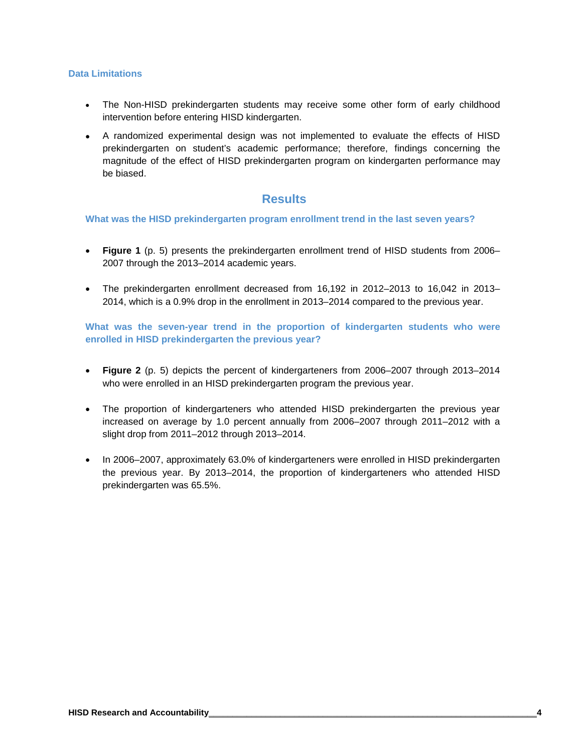#### **Data Limitations**

- The Non-HISD prekindergarten students may receive some other form of early childhood intervention before entering HISD kindergarten.
- A randomized experimental design was not implemented to evaluate the effects of HISD prekindergarten on student's academic performance; therefore, findings concerning the magnitude of the effect of HISD prekindergarten program on kindergarten performance may be biased.

# **Results**

#### **What was the HISD prekindergarten program enrollment trend in the last seven years?**

- **Figure 1** (p. 5) presents the prekindergarten enrollment trend of HISD students from 2006– 2007 through the 2013–2014 academic years.
- The prekindergarten enrollment decreased from 16,192 in 2012–2013 to 16,042 in 2013– 2014, which is a 0.9% drop in the enrollment in 2013–2014 compared to the previous year.

**What was the seven-year trend in the proportion of kindergarten students who were enrolled in HISD prekindergarten the previous year?**

- **Figure 2** (p. 5) depicts the percent of kindergarteners from 2006–2007 through 2013–2014 who were enrolled in an HISD prekindergarten program the previous year.
- The proportion of kindergarteners who attended HISD prekindergarten the previous year increased on average by 1.0 percent annually from 2006–2007 through 2011–2012 with a slight drop from 2011–2012 through 2013–2014.
- In 2006–2007, approximately 63.0% of kindergarteners were enrolled in HISD prekindergarten the previous year. By 2013–2014, the proportion of kindergarteners who attended HISD prekindergarten was 65.5%.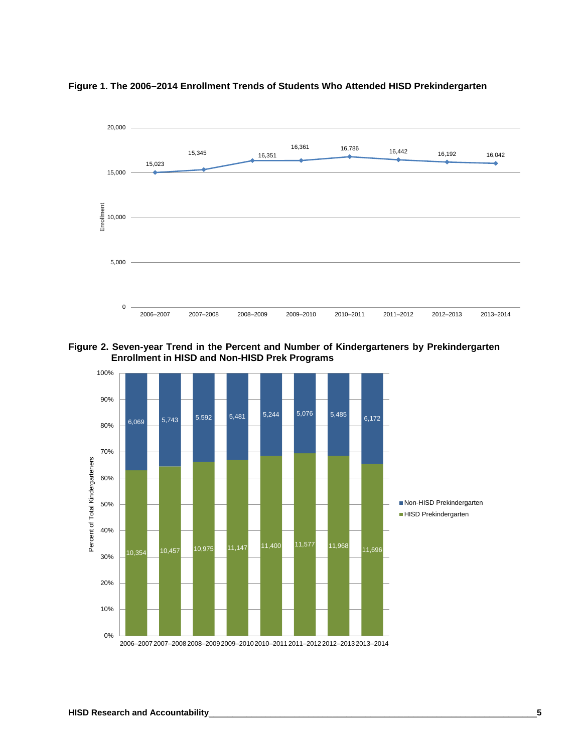

**Figure 1. The 2006–2014 Enrollment Trends of Students Who Attended HISD Prekindergarten** 

**Figure 2. Seven-year Trend in the Percent and Number of Kindergarteners by Prekindergarten Enrollment in HISD and Non-HISD Prek Programs**

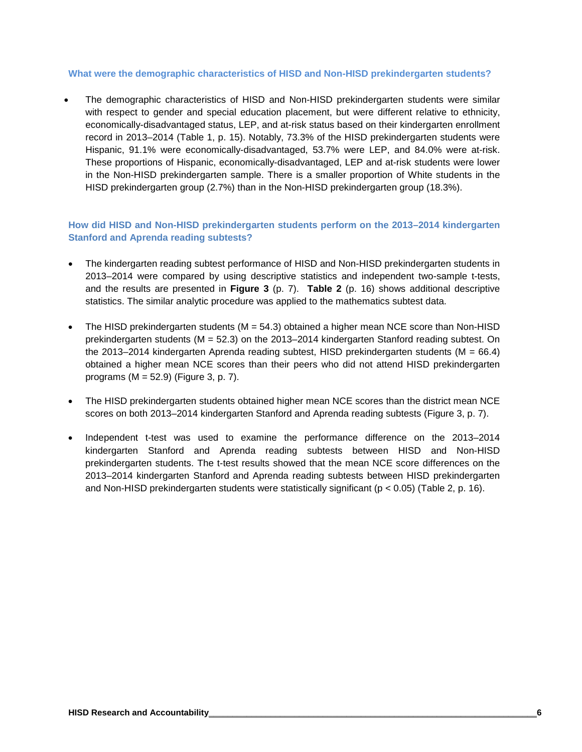#### **What were the demographic characteristics of HISD and Non-HISD prekindergarten students?**

• The demographic characteristics of HISD and Non-HISD prekindergarten students were similar with respect to gender and special education placement, but were different relative to ethnicity, economically-disadvantaged status, LEP, and at-risk status based on their kindergarten enrollment record in 2013–2014 (Table 1, p. 15). Notably, 73.3% of the HISD prekindergarten students were Hispanic, 91.1% were economically-disadvantaged, 53.7% were LEP, and 84.0% were at-risk. These proportions of Hispanic, economically-disadvantaged, LEP and at-risk students were lower in the Non-HISD prekindergarten sample. There is a smaller proportion of White students in the HISD prekindergarten group (2.7%) than in the Non-HISD prekindergarten group (18.3%).

#### **How did HISD and Non-HISD prekindergarten students perform on the 2013–2014 kindergarten Stanford and Aprenda reading subtests?**

- The kindergarten reading subtest performance of HISD and Non-HISD prekindergarten students in 2013–2014 were compared by using descriptive statistics and independent two-sample t-tests, and the results are presented in **Figure 3** (p. 7). **Table 2** (p. 16) shows additional descriptive statistics. The similar analytic procedure was applied to the mathematics subtest data.
- The HISD prekindergarten students ( $M = 54.3$ ) obtained a higher mean NCE score than Non-HISD prekindergarten students (M = 52.3) on the 2013–2014 kindergarten Stanford reading subtest. On the 2013–2014 kindergarten Aprenda reading subtest, HISD prekindergarten students ( $M = 66.4$ ) obtained a higher mean NCE scores than their peers who did not attend HISD prekindergarten programs (M = 52.9) (Figure 3, p. 7).
- The HISD prekindergarten students obtained higher mean NCE scores than the district mean NCE scores on both 2013–2014 kindergarten Stanford and Aprenda reading subtests (Figure 3, p. 7).
- Independent t-test was used to examine the performance difference on the 2013–2014 kindergarten Stanford and Aprenda reading subtests between HISD and Non-HISD prekindergarten students. The t-test results showed that the mean NCE score differences on the 2013–2014 kindergarten Stanford and Aprenda reading subtests between HISD prekindergarten and Non-HISD prekindergarten students were statistically significant ( $p < 0.05$ ) (Table 2, p. 16).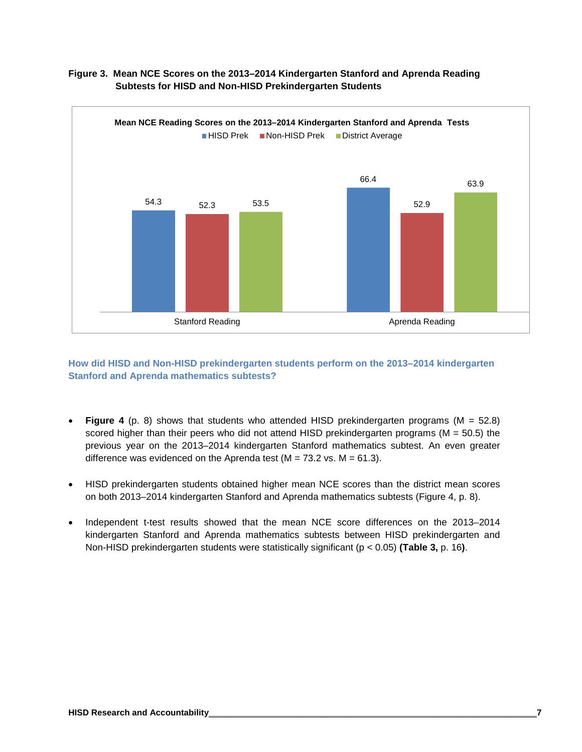

## **Figure 3. Mean NCE Scores on the 2013–2014 Kindergarten Stanford and Aprenda Reading Subtests for HISD and Non-HISD Prekindergarten Students**

#### **How did HISD and Non-HISD prekindergarten students perform on the 2013–2014 kindergarten Stanford and Aprenda mathematics subtests?**

- **Figure 4** (p. 8) shows that students who attended HISD prekindergarten programs (M = 52.8) scored higher than their peers who did not attend HISD prekindergarten programs ( $M = 50.5$ ) the previous year on the 2013–2014 kindergarten Stanford mathematics subtest. An even greater difference was evidenced on the Aprenda test ( $M = 73.2$  vs.  $M = 61.3$ ).
- HISD prekindergarten students obtained higher mean NCE scores than the district mean scores on both 2013–2014 kindergarten Stanford and Aprenda mathematics subtests (Figure 4, p. 8).
- Independent t-test results showed that the mean NCE score differences on the 2013–2014 kindergarten Stanford and Aprenda mathematics subtests between HISD prekindergarten and Non-HISD prekindergarten students were statistically significant (p < 0.05) **(Table 3,** p. 16**)**.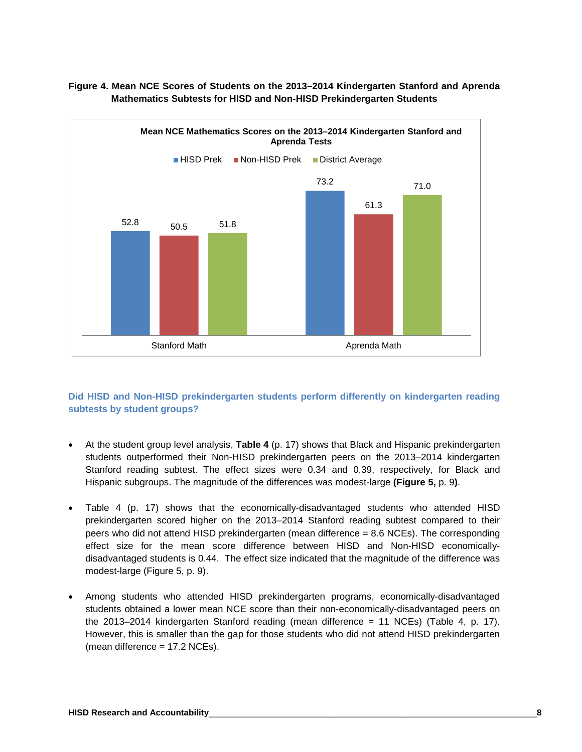

#### **Figure 4. Mean NCE Scores of Students on the 2013–2014 Kindergarten Stanford and Aprenda Mathematics Subtests for HISD and Non-HISD Prekindergarten Students**

### **Did HISD and Non-HISD prekindergarten students perform differently on kindergarten reading subtests by student groups?**

- At the student group level analysis, **Table 4** (p. 17) shows that Black and Hispanic prekindergarten students outperformed their Non-HISD prekindergarten peers on the 2013–2014 kindergarten Stanford reading subtest. The effect sizes were 0.34 and 0.39, respectively, for Black and Hispanic subgroups. The magnitude of the differences was modest-large **(Figure 5,** p. 9**)**.
- Table 4 (p. 17) shows that the economically-disadvantaged students who attended HISD prekindergarten scored higher on the 2013–2014 Stanford reading subtest compared to their peers who did not attend HISD prekindergarten (mean difference = 8.6 NCEs). The corresponding effect size for the mean score difference between HISD and Non-HISD economicallydisadvantaged students is 0.44. The effect size indicated that the magnitude of the difference was modest-large (Figure 5, p. 9).
- Among students who attended HISD prekindergarten programs, economically-disadvantaged students obtained a lower mean NCE score than their non-economically-disadvantaged peers on the 2013–2014 kindergarten Stanford reading (mean difference = 11 NCEs) (Table 4, p. 17). However, this is smaller than the gap for those students who did not attend HISD prekindergarten (mean difference = 17.2 NCEs).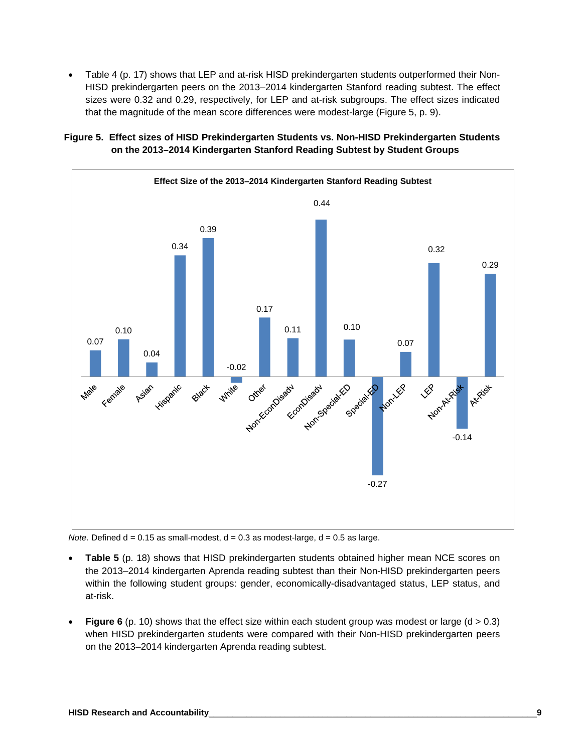• Table 4 (p. 17) shows that LEP and at-risk HISD prekindergarten students outperformed their Non-HISD prekindergarten peers on the 2013–2014 kindergarten Stanford reading subtest. The effect sizes were 0.32 and 0.29, respectively, for LEP and at-risk subgroups. The effect sizes indicated that the magnitude of the mean score differences were modest-large (Figure 5, p. 9).



# **Figure 5. Effect sizes of HISD Prekindergarten Students vs. Non-HISD Prekindergarten Students on the 2013–2014 Kindergarten Stanford Reading Subtest by Student Groups**

*Note.* Defined  $d = 0.15$  as small-modest,  $d = 0.3$  as modest-large,  $d = 0.5$  as large.

- **Table 5** (p. 18) shows that HISD prekindergarten students obtained higher mean NCE scores on the 2013–2014 kindergarten Aprenda reading subtest than their Non-HISD prekindergarten peers within the following student groups: gender, economically-disadvantaged status, LEP status, and at-risk.
- **Figure 6** (p. 10) shows that the effect size within each student group was modest or large ( $d > 0.3$ ) when HISD prekindergarten students were compared with their Non-HISD prekindergarten peers on the 2013–2014 kindergarten Aprenda reading subtest.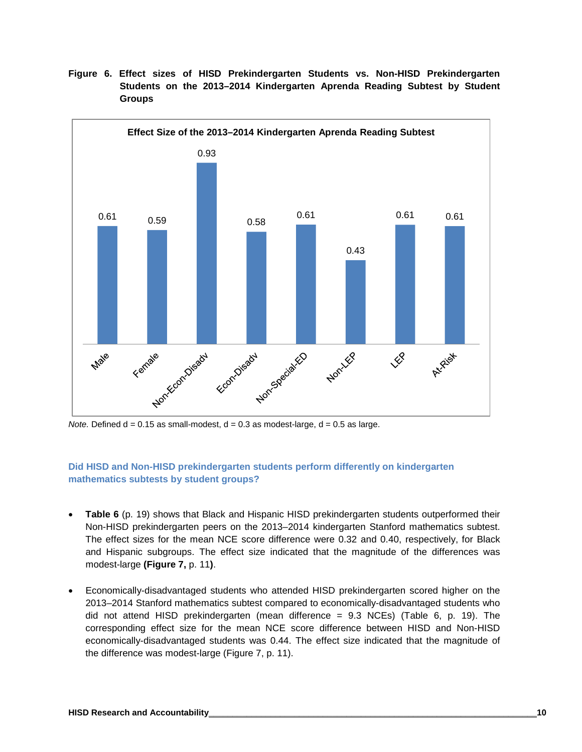

**Figure 6. Effect sizes of HISD Prekindergarten Students vs. Non-HISD Prekindergarten Students on the 2013–2014 Kindergarten Aprenda Reading Subtest by Student Groups**

*Note.* Defined  $d = 0.15$  as small-modest,  $d = 0.3$  as modest-large,  $d = 0.5$  as large.

#### **Did HISD and Non-HISD prekindergarten students perform differently on kindergarten mathematics subtests by student groups?**

- **Table 6** (p. 19) shows that Black and Hispanic HISD prekindergarten students outperformed their Non-HISD prekindergarten peers on the 2013–2014 kindergarten Stanford mathematics subtest. The effect sizes for the mean NCE score difference were 0.32 and 0.40, respectively, for Black and Hispanic subgroups. The effect size indicated that the magnitude of the differences was modest-large **(Figure 7,** p. 11**)**.
- Economically-disadvantaged students who attended HISD prekindergarten scored higher on the 2013–2014 Stanford mathematics subtest compared to economically-disadvantaged students who did not attend HISD prekindergarten (mean difference = 9.3 NCEs) (Table 6, p. 19). The corresponding effect size for the mean NCE score difference between HISD and Non-HISD economically-disadvantaged students was 0.44. The effect size indicated that the magnitude of the difference was modest-large (Figure 7, p. 11).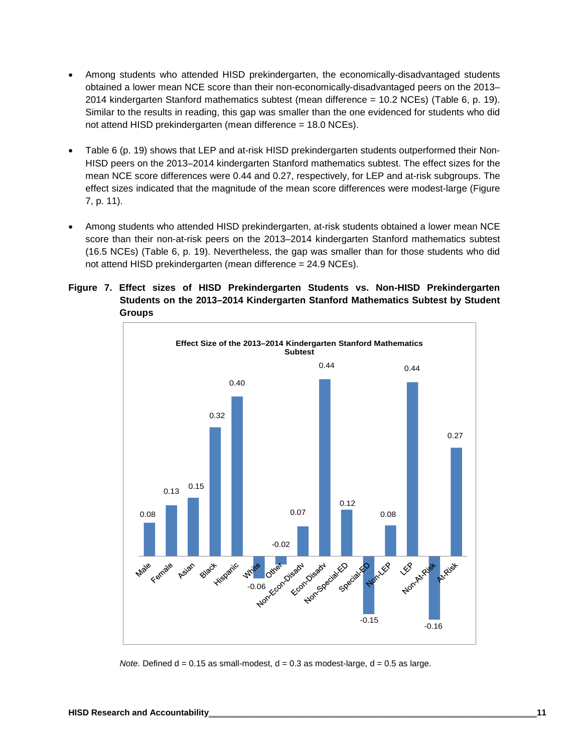- Among students who attended HISD prekindergarten, the economically-disadvantaged students obtained a lower mean NCE score than their non-economically-disadvantaged peers on the 2013– 2014 kindergarten Stanford mathematics subtest (mean difference = 10.2 NCEs) (Table 6, p. 19). Similar to the results in reading, this gap was smaller than the one evidenced for students who did not attend HISD prekindergarten (mean difference = 18.0 NCEs).
- Table 6 (p. 19) shows that LEP and at-risk HISD prekindergarten students outperformed their Non-HISD peers on the 2013–2014 kindergarten Stanford mathematics subtest. The effect sizes for the mean NCE score differences were 0.44 and 0.27, respectively, for LEP and at-risk subgroups. The effect sizes indicated that the magnitude of the mean score differences were modest-large (Figure 7, p. 11).
- Among students who attended HISD prekindergarten, at-risk students obtained a lower mean NCE score than their non-at-risk peers on the 2013–2014 kindergarten Stanford mathematics subtest (16.5 NCEs) (Table 6, p. 19). Nevertheless, the gap was smaller than for those students who did not attend HISD prekindergarten (mean difference = 24.9 NCEs).

#### **Figure 7. Effect sizes of HISD Prekindergarten Students vs. Non-HISD Prekindergarten Students on the 2013–2014 Kindergarten Stanford Mathematics Subtest by Student Groups**



*Note.* Defined  $d = 0.15$  as small-modest,  $d = 0.3$  as modest-large,  $d = 0.5$  as large.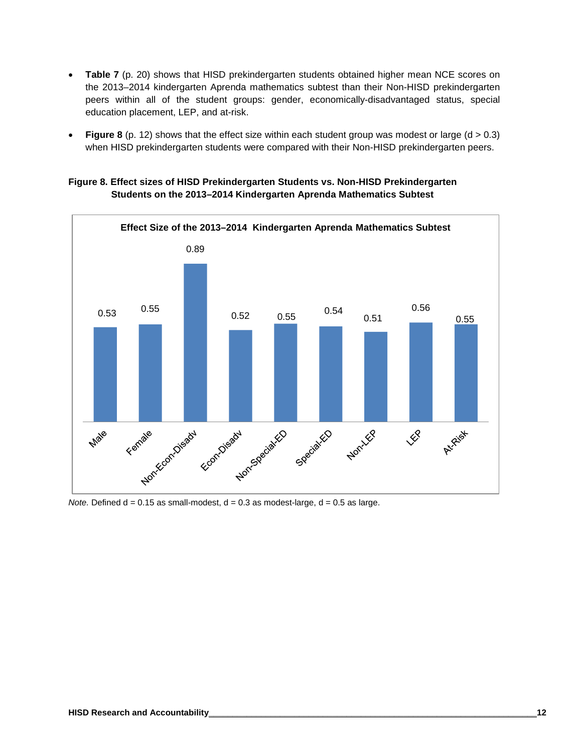- **Table 7** (p. 20) shows that HISD prekindergarten students obtained higher mean NCE scores on the 2013–2014 kindergarten Aprenda mathematics subtest than their Non-HISD prekindergarten peers within all of the student groups: gender, economically-disadvantaged status, special education placement, LEP, and at-risk.
- **Figure 8** (p. 12) shows that the effect size within each student group was modest or large (d > 0.3) when HISD prekindergarten students were compared with their Non-HISD prekindergarten peers.

#### **Figure 8. Effect sizes of HISD Prekindergarten Students vs. Non-HISD Prekindergarten Students on the 2013–2014 Kindergarten Aprenda Mathematics Subtest**



*Note.* Defined  $d = 0.15$  as small-modest,  $d = 0.3$  as modest-large,  $d = 0.5$  as large.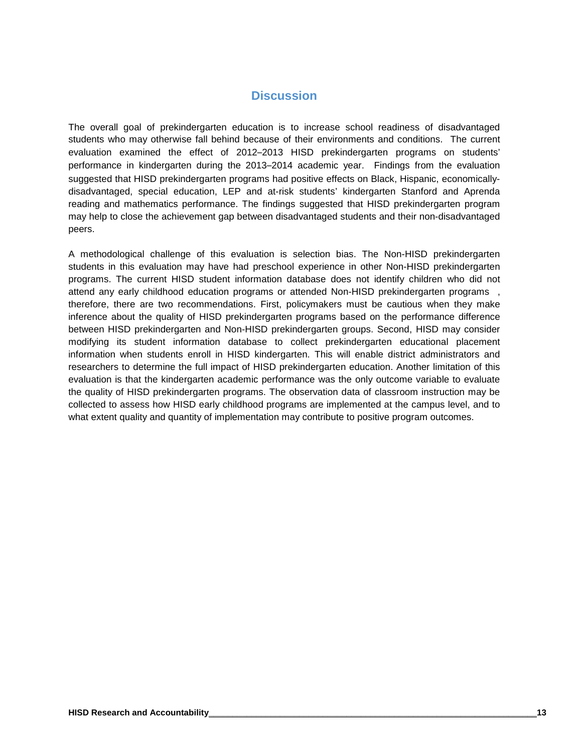# **Discussion**

The overall goal of prekindergarten education is to increase school readiness of disadvantaged students who may otherwise fall behind because of their environments and conditions. The current evaluation examined the effect of 2012–2013 HISD prekindergarten programs on students' performance in kindergarten during the 2013–2014 academic year. Findings from the evaluation suggested that HISD prekindergarten programs had positive effects on Black, Hispanic, economicallydisadvantaged, special education, LEP and at-risk students' kindergarten Stanford and Aprenda reading and mathematics performance. The findings suggested that HISD prekindergarten program may help to close the achievement gap between disadvantaged students and their non-disadvantaged peers.

A methodological challenge of this evaluation is selection bias. The Non-HISD prekindergarten students in this evaluation may have had preschool experience in other Non-HISD prekindergarten programs. The current HISD student information database does not identify children who did not attend any early childhood education programs or attended Non-HISD prekindergarten programs , therefore, there are two recommendations. First, policymakers must be cautious when they make inference about the quality of HISD prekindergarten programs based on the performance difference between HISD prekindergarten and Non-HISD prekindergarten groups. Second, HISD may consider modifying its student information database to collect prekindergarten educational placement information when students enroll in HISD kindergarten. This will enable district administrators and researchers to determine the full impact of HISD prekindergarten education. Another limitation of this evaluation is that the kindergarten academic performance was the only outcome variable to evaluate the quality of HISD prekindergarten programs. The observation data of classroom instruction may be collected to assess how HISD early childhood programs are implemented at the campus level, and to what extent quality and quantity of implementation may contribute to positive program outcomes.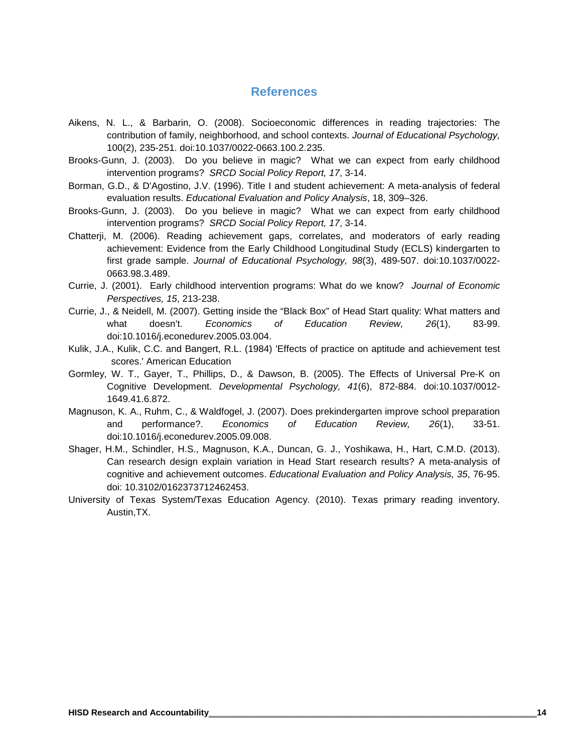# **References**

- Aikens, N. L., & Barbarin, O. (2008). Socioeconomic differences in reading trajectories: The contribution of family, neighborhood, and school contexts. *Journal of Educational Psychology,* 100(2), 235-251. doi:10.1037/0022-0663.100.2.235.
- Brooks-Gunn, J. (2003). Do you believe in magic? What we can expect from early childhood intervention programs? *SRCD Social Policy Report, 17*, 3-14.
- Borman, G.D., & D'Agostino, J.V. (1996). Title I and student achievement: A meta-analysis of federal evaluation results. *Educational Evaluation and Policy Analysis*, 18, 309–326.
- Brooks-Gunn, J. (2003). Do you believe in magic? What we can expect from early childhood intervention programs? *SRCD Social Policy Report, 17*, 3-14.
- Chatterji, M. (2006). Reading achievement gaps, correlates, and moderators of early reading achievement: Evidence from the Early Childhood Longitudinal Study (ECLS) kindergarten to first grade sample. *Journal of Educational Psychology, 98*(3), 489-507. doi:10.1037/0022- 0663.98.3.489.
- Currie, J. (2001). Early childhood intervention programs: What do we know? *Journal of Economic Perspectives, 15*, 213-238.
- Currie, J., & Neidell, M. (2007). Getting inside the "Black Box" of Head Start quality: What matters and what doesn't. *Economics of Education Review, 26*(1), 83-99. doi:10.1016/j.econedurev.2005.03.004.
- Kulik, J.A., Kulik, C.C. and Bangert, R.L. (1984) 'Effects of practice on aptitude and achievement test scores.' American Education
- Gormley, W. T., Gayer, T., Phillips, D., & Dawson, B. (2005). The Effects of Universal Pre-K on Cognitive Development. *Developmental Psychology, 41*(6), 872-884. doi:10.1037/0012- 1649.41.6.872.
- Magnuson, K. A., Ruhm, C., & Waldfogel, J. (2007). Does prekindergarten improve school preparation and performance?. *Economics of Education Review, 26*(1), 33-51. doi:10.1016/j.econedurev.2005.09.008.
- Shager, H.M., Schindler, H.S., Magnuson, K.A., Duncan, G. J., Yoshikawa, H., Hart, C.M.D. (2013). Can research design explain variation in Head Start research results? A meta-analysis of cognitive and achievement outcomes. *Educational Evaluation and Policy Analysis, 35*, 76-95. doi: 10.3102/0162373712462453.
- University of Texas System/Texas Education Agency. (2010). Texas primary reading inventory. Austin,TX.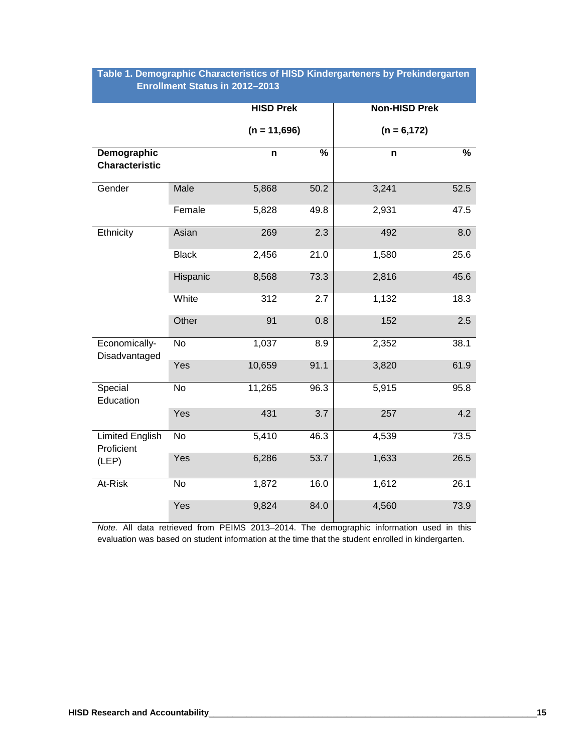|                                      |              | <b>HISD Prek</b> |      | <b>Non-HISD Prek</b> |      |  |  |  |
|--------------------------------------|--------------|------------------|------|----------------------|------|--|--|--|
|                                      |              | $(n = 11,696)$   |      | $(n = 6, 172)$       |      |  |  |  |
| Demographic<br><b>Characteristic</b> |              | n                | %    | n                    | %    |  |  |  |
| Gender                               | Male         | 5,868            | 50.2 | 3,241                | 52.5 |  |  |  |
|                                      | Female       | 5,828            | 49.8 | 2,931                | 47.5 |  |  |  |
| Ethnicity                            | Asian        | 269              | 2.3  | 492                  | 8.0  |  |  |  |
|                                      | <b>Black</b> | 2,456            | 21.0 | 1,580                | 25.6 |  |  |  |
|                                      | Hispanic     | 8,568            | 73.3 | 2,816                | 45.6 |  |  |  |
|                                      | White        | 312              | 2.7  | 1,132                | 18.3 |  |  |  |
|                                      | Other        | 91               | 0.8  | 152                  | 2.5  |  |  |  |
| Economically-<br>Disadvantaged       | <b>No</b>    | 1,037            | 8.9  | 2,352                | 38.1 |  |  |  |
|                                      | Yes          | 10,659           | 91.1 | 3,820                | 61.9 |  |  |  |
| Special<br>Education                 | <b>No</b>    | 11,265           | 96.3 | 5,915                | 95.8 |  |  |  |
|                                      | Yes          | 431              | 3.7  | 257                  | 4.2  |  |  |  |
| <b>Limited English</b><br>Proficient | No           | 5,410            | 46.3 | 4,539                | 73.5 |  |  |  |
| (LEP)                                | Yes          | 6,286            | 53.7 | 1,633                | 26.5 |  |  |  |
| At-Risk                              | No           | 1,872            | 16.0 | 1,612                | 26.1 |  |  |  |
|                                      | Yes          | 9,824            | 84.0 | 4,560                | 73.9 |  |  |  |

# **Table 1. Demographic Characteristics of HISD Kindergarteners by Prekindergarten Enrollment Status in 2012–2013**

*Note.* All data retrieved from PEIMS 2013–2014. The demographic information used in this evaluation was based on student information at the time that the student enrolled in kindergarten.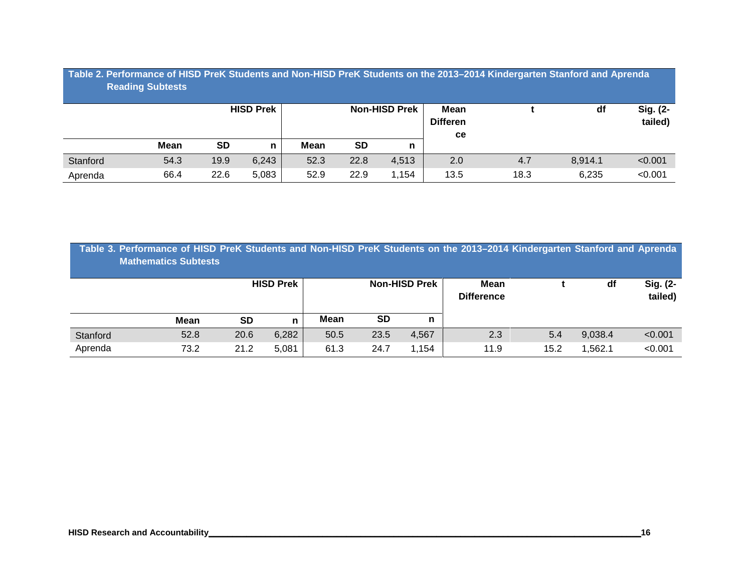| Table 2. Performance of HISD PreK Students and Non-HISD PreK Students on the 2013-2014 Kindergarten Stanford and Aprenda<br><b>Reading Subtests</b> |             |           |                  |                      |           |       |                                      |      |         |                     |  |
|-----------------------------------------------------------------------------------------------------------------------------------------------------|-------------|-----------|------------------|----------------------|-----------|-------|--------------------------------------|------|---------|---------------------|--|
|                                                                                                                                                     |             |           | <b>HISD Prek</b> | <b>Non-HISD Prek</b> |           |       | Mean<br><b>Differen</b><br><b>ce</b> |      | df      | Sig. (2-<br>tailed) |  |
|                                                                                                                                                     | <b>Mean</b> | <b>SD</b> | n                | Mean                 | <b>SD</b> | n     |                                      |      |         |                     |  |
| Stanford                                                                                                                                            | 54.3        | 19.9      | 6,243            | 52.3                 | 22.8      | 4,513 | 2.0                                  | 4.7  | 8.914.1 | < 0.001             |  |
| Aprenda                                                                                                                                             | 66.4        | 22.6      | 5,083            | 52.9                 | 22.9      | 1.154 | 13.5                                 | 18.3 | 6,235   | < 0.001             |  |

| Table 3. Performance of HISD PreK Students and Non-HISD PreK Students on the 2013–2014 Kindergarten Stanford and Aprenda<br><b>Mathematics Subtests</b> |    |                  |      |                      |                           |    |                     |
|---------------------------------------------------------------------------------------------------------------------------------------------------------|----|------------------|------|----------------------|---------------------------|----|---------------------|
|                                                                                                                                                         |    | <b>HISD Prek</b> |      | <b>Non-HISD Prek</b> | Mean<br><b>Difference</b> | df | Sig. (2-<br>tailed) |
|                                                                                                                                                         |    |                  |      |                      |                           |    |                     |
| Mean                                                                                                                                                    | SD |                  | Mean | SD                   |                           |    |                     |

|          | <b>Mean</b>   | <b>SD</b> | $-$<br>n | <b>Mean</b> | SD   |       |           |      |         |                     |
|----------|---------------|-----------|----------|-------------|------|-------|-----------|------|---------|---------------------|
| Stanford | 52.8          | 20.6      | 6,282    | 50.5        | 23.5 | 4,567 | ററ<br>ن.∠ | 5.4  | 9,038.4 | < 0.001             |
| Aprenda  | ר בד<br>ے.כ ⁄ | 21.2      | 5,081    | 61.3        | 24.7 | ,154  | 11.9      | 15.2 | ,562.7  | < 0.00 <sup>2</sup> |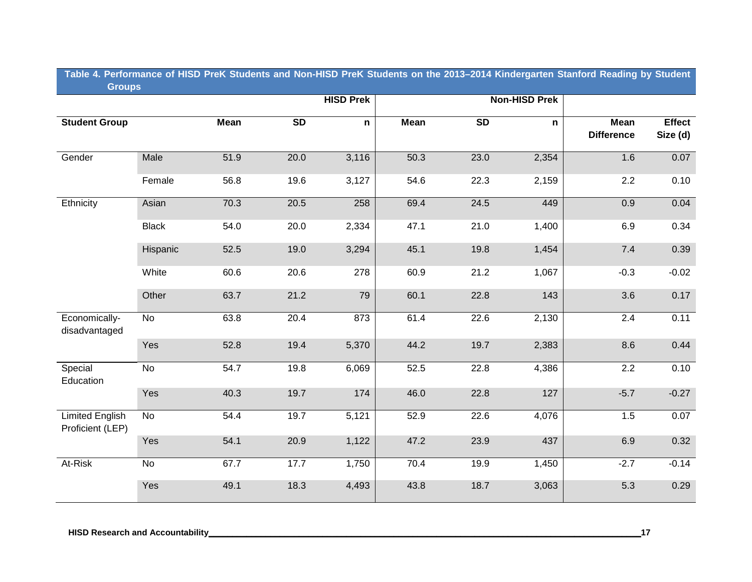#### **Table 4. Performance of HISD PreK Students and Non-HISD PreK Students on the 2013–2014 Kindergarten Stanford Reading by Student Groups Groups**

|                                            | <b>Contract Contract</b> |             |           | <b>HISD Prek</b> |             |      | <b>Non-HISD Prek</b> |                                  |                           |
|--------------------------------------------|--------------------------|-------------|-----------|------------------|-------------|------|----------------------|----------------------------------|---------------------------|
| <b>Student Group</b>                       |                          | <b>Mean</b> | <b>SD</b> | $\mathsf{n}$     | <b>Mean</b> | SD   | $\mathsf{n}$         | <b>Mean</b><br><b>Difference</b> | <b>Effect</b><br>Size (d) |
| Gender                                     | Male                     | 51.9        | $20.0\,$  | 3,116            | 50.3        | 23.0 | 2,354                | 1.6                              | 0.07                      |
|                                            | Female                   | 56.8        | 19.6      | 3,127            | 54.6        | 22.3 | 2,159                | $2.2\,$                          | 0.10                      |
| Ethnicity                                  | Asian                    | 70.3        | 20.5      | 258              | 69.4        | 24.5 | 449                  | 0.9                              | 0.04                      |
|                                            | <b>Black</b>             | 54.0        | 20.0      | 2,334            | 47.1        | 21.0 | 1,400                | 6.9                              | 0.34                      |
|                                            | Hispanic                 | 52.5        | 19.0      | 3,294            | 45.1        | 19.8 | 1,454                | 7.4                              | 0.39                      |
|                                            | White                    | 60.6        | 20.6      | 278              | 60.9        | 21.2 | 1,067                | $-0.3$                           | $-0.02$                   |
|                                            | Other                    | 63.7        | 21.2      | 79               | 60.1        | 22.8 | 143                  | 3.6                              | 0.17                      |
| Economically-<br>disadvantaged             | No                       | 63.8        | 20.4      | 873              | 61.4        | 22.6 | 2,130                | 2.4                              | 0.11                      |
|                                            | Yes                      | 52.8        | 19.4      | 5,370            | 44.2        | 19.7 | 2,383                | 8.6                              | 0.44                      |
| Special<br>Education                       | No                       | 54.7        | 19.8      | 6,069            | 52.5        | 22.8 | 4,386                | 2.2                              | 0.10                      |
|                                            | Yes                      | 40.3        | 19.7      | 174              | 46.0        | 22.8 | 127                  | $-5.7$                           | $-0.27$                   |
| <b>Limited English</b><br>Proficient (LEP) | No                       | 54.4        | 19.7      | 5,121            | 52.9        | 22.6 | 4,076                | 1.5                              | 0.07                      |
|                                            | Yes                      | 54.1        | 20.9      | 1,122            | 47.2        | 23.9 | 437                  | 6.9                              | 0.32                      |
| At-Risk                                    | $\overline{N}$           | 67.7        | 17.7      | 1,750            | 70.4        | 19.9 | 1,450                | $-2.7$                           | $-0.14$                   |
|                                            | Yes                      | 49.1        | 18.3      | 4,493            | 43.8        | 18.7 | 3,063                | 5.3                              | 0.29                      |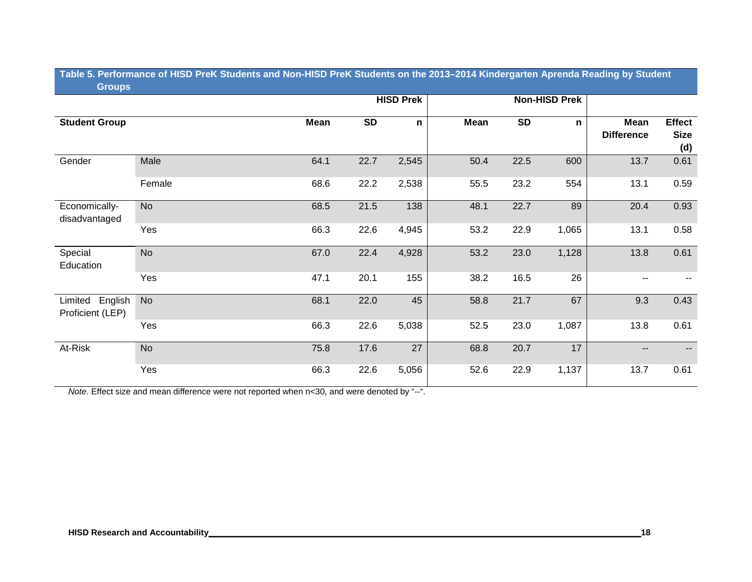### **Table 5. Performance of HISD PreK Students and Non-HISD PreK Students on the 2013–2014 Kindergarten Aprenda Reading by Student Groups**

|                                     |           |      |           | <b>HISD Prek</b> |             |           | <b>Non-HISD Prek</b> |                           |                                     |
|-------------------------------------|-----------|------|-----------|------------------|-------------|-----------|----------------------|---------------------------|-------------------------------------|
| <b>Student Group</b>                |           | Mean | <b>SD</b> | $\mathsf{n}$     | <b>Mean</b> | <b>SD</b> | n                    | Mean<br><b>Difference</b> | <b>Effect</b><br><b>Size</b><br>(d) |
| Gender                              | Male      | 64.1 | 22.7      | 2,545            | 50.4        | 22.5      | 600                  | 13.7                      | 0.61                                |
|                                     | Female    | 68.6 | 22.2      | 2,538            | 55.5        | 23.2      | 554                  | 13.1                      | 0.59                                |
| Economically-<br>disadvantaged      | <b>No</b> | 68.5 | 21.5      | 138              | 48.1        | 22.7      | 89                   | 20.4                      | 0.93                                |
|                                     | Yes       | 66.3 | 22.6      | 4,945            | 53.2        | 22.9      | 1,065                | 13.1                      | 0.58                                |
| Special<br>Education                | <b>No</b> | 67.0 | 22.4      | 4,928            | 53.2        | 23.0      | 1,128                | 13.8                      | 0.61                                |
|                                     | Yes       | 47.1 | 20.1      | 155              | 38.2        | 16.5      | 26                   | $\sim$ $\sim$             |                                     |
| Limited English<br>Proficient (LEP) | <b>No</b> | 68.1 | 22.0      | 45               | 58.8        | 21.7      | 67                   | 9.3                       | 0.43                                |
|                                     | Yes       | 66.3 | 22.6      | 5,038            | 52.5        | 23.0      | 1,087                | 13.8                      | 0.61                                |
| At-Risk                             | <b>No</b> | 75.8 | 17.6      | 27               | 68.8        | 20.7      | 17                   | $\overline{\phantom{a}}$  |                                     |
|                                     | Yes       | 66.3 | 22.6      | 5,056            | 52.6        | 22.9      | 1,137                | 13.7                      | 0.61                                |

*Note.* Effect size and mean difference were not reported when n<30, and were denoted by "--".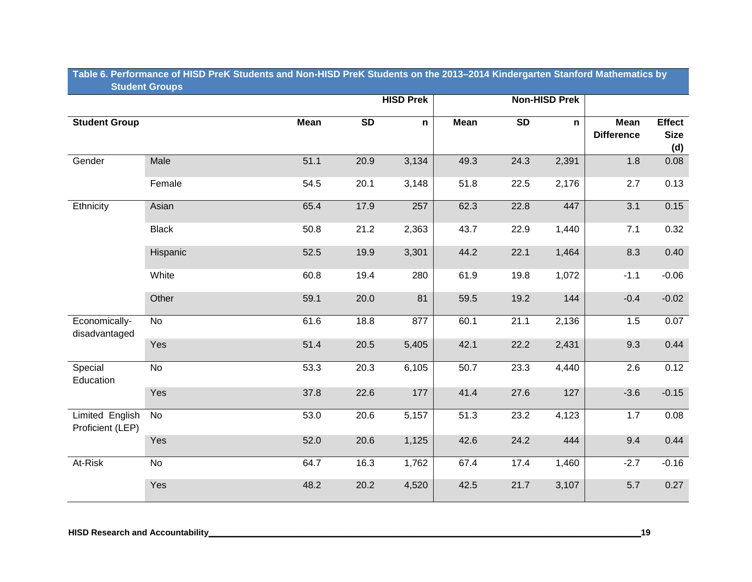### **Table 6. Performance of HISD PreK Students and Non-HISD PreK Students on the 2013–2014 Kindergarten Stanford Mathematics by Student Groups**

|                                     |              |             |                 | <b>HISD Prek</b> |             |                 | <b>Non-HISD Prek</b> |                                                 |                                     |
|-------------------------------------|--------------|-------------|-----------------|------------------|-------------|-----------------|----------------------|-------------------------------------------------|-------------------------------------|
| <b>Student Group</b>                |              | <b>Mean</b> | $\overline{SD}$ | $\mathsf{n}$     | <b>Mean</b> | $\overline{SD}$ | n                    | $\overline{\mathsf{Mean}}$<br><b>Difference</b> | <b>Effect</b><br><b>Size</b><br>(d) |
| Gender                              | <b>Male</b>  | 51.1        | 20.9            | 3,134            | 49.3        | 24.3            | 2,391                | 1.8                                             | 0.08                                |
|                                     | Female       | 54.5        | 20.1            | 3,148            | 51.8        | 22.5            | 2,176                | 2.7                                             | 0.13                                |
| Ethnicity                           | Asian        | 65.4        | 17.9            | 257              | 62.3        | 22.8            | 447                  | 3.1                                             | 0.15                                |
|                                     | <b>Black</b> | 50.8        | 21.2            | 2,363            | 43.7        | 22.9            | 1,440                | 7.1                                             | 0.32                                |
|                                     | Hispanic     | 52.5        | 19.9            | 3,301            | 44.2        | 22.1            | 1,464                | 8.3                                             | 0.40                                |
|                                     | White        | 60.8        | 19.4            | 280              | 61.9        | 19.8            | 1,072                | $-1.1$                                          | $-0.06$                             |
|                                     | Other        | 59.1        | 20.0            | 81               | 59.5        | 19.2            | 144                  | $-0.4$                                          | $-0.02$                             |
| Economically-<br>disadvantaged      | No           | 61.6        | 18.8            | 877              | 60.1        | 21.1            | 2,136                | 1.5                                             | 0.07                                |
|                                     | Yes          | 51.4        | 20.5            | 5,405            | 42.1        | 22.2            | 2,431                | 9.3                                             | 0.44                                |
| Special<br>Education                | No           | 53.3        | 20.3            | 6,105            | 50.7        | 23.3            | 4,440                | 2.6                                             | 0.12                                |
|                                     | Yes          | 37.8        | 22.6            | 177              | 41.4        | 27.6            | 127                  | $-3.6$                                          | $-0.15$                             |
| Limited English<br>Proficient (LEP) | <b>No</b>    | 53.0        | 20.6            | 5,157            | 51.3        | 23.2            | 4,123                | 1.7                                             | 0.08                                |
|                                     | Yes          | 52.0        | 20.6            | 1,125            | 42.6        | 24.2            | 444                  | 9.4                                             | 0.44                                |
| At-Risk                             | No           | 64.7        | 16.3            | 1,762            | 67.4        | 17.4            | 1,460                | $-2.7$                                          | $-0.16$                             |
|                                     | Yes          | 48.2        | 20.2            | 4,520            | 42.5        | 21.7            | 3,107                | 5.7                                             | 0.27                                |